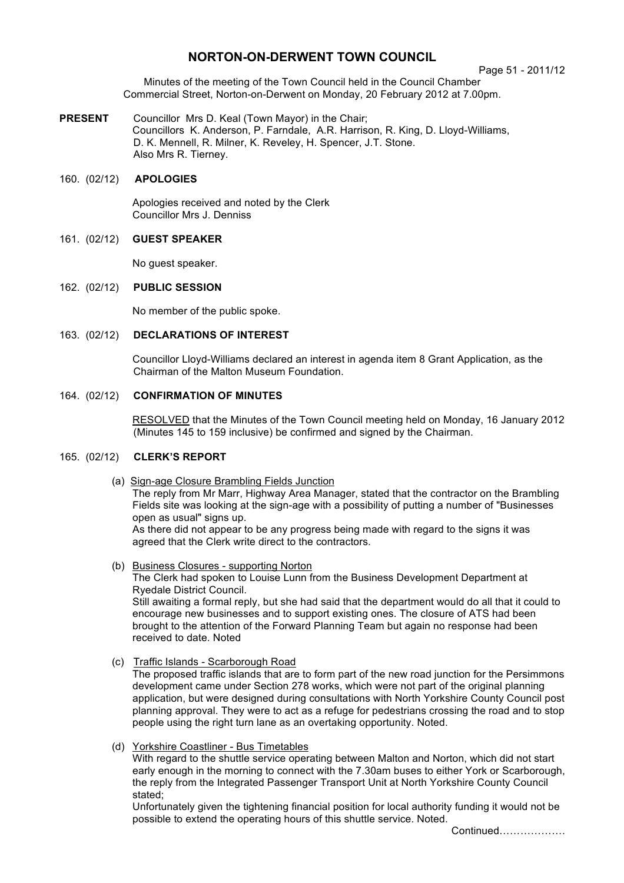# **NORTON-ON-DERWENT TOWN COUNCIL**

#### Page 51 - 2011/12

Minutes of the meeting of the Town Council held in the Council Chamber Commercial Street, Norton-on-Derwent on Monday, 20 February 2012 at 7.00pm.

**PRESENT** Councillor Mrs D. Keal (Town Mayor) in the Chair; Councillors K. Anderson, P. Farndale, A.R. Harrison, R. King, D. Lloyd-Williams, D. K. Mennell, R. Milner, K. Reveley, H. Spencer, J.T. Stone. Also Mrs R. Tierney.

# 160. (02/12) **APOLOGIES**

 Apologies received and noted by the Clerk Councillor Mrs J. Denniss

### 161. (02/12) **GUEST SPEAKER**

No quest speaker.

#### 162. (02/12) **PUBLIC SESSION**

No member of the public spoke.

#### 163. (02/12) **DECLARATIONS OF INTEREST**

 Councillor Lloyd-Williams declared an interest in agenda item 8 Grant Application, as the Chairman of the Malton Museum Foundation.

### 164. (02/12) **CONFIRMATION OF MINUTES**

 RESOLVED that the Minutes of the Town Council meeting held on Monday, 16 January 2012 (Minutes 145 to 159 inclusive) be confirmed and signed by the Chairman.

### 165. (02/12) **CLERK'S REPORT**

- (a) Sign-age Closure Brambling Fields Junction The reply from Mr Marr, Highway Area Manager, stated that the contractor on the Brambling Fields site was looking at the sign-age with a possibility of putting a number of "Businesses" open as usual" signs up. As there did not appear to be any progress being made with regard to the signs it was agreed that the Clerk write direct to the contractors.
- (b) Business Closures supporting Norton The Clerk had spoken to Louise Lunn from the Business Development Department at Ryedale District Council. Still awaiting a formal reply, but she had said that the department would do all that it could to encourage new businesses and to support existing ones. The closure of ATS had been brought to the attention of the Forward Planning Team but again no response had been received to date. Noted
- (c)Traffic Islands Scarborough Road

The proposed traffic islands that are to form part of the new road junction for the Persimmons development came under Section 278 works, which were not part of the original planning application, but were designed during consultations with North Yorkshire County Council post planning approval. They were to act as a refuge for pedestrians crossing the road and to stop people using the right turn lane as an overtaking opportunity. Noted.

(d) Yorkshire Coastliner - Bus Timetables

With regard to the shuttle service operating between Malton and Norton, which did not start early enough in the morning to connect with the 7.30am buses to either York or Scarborough, the reply from the Integrated Passenger Transport Unit at North Yorkshire County Council stated;

Unfortunately given the tightening financial position for local authority funding it would not be possible to extend the operating hours of this shuttle service. Noted.

Continued……………….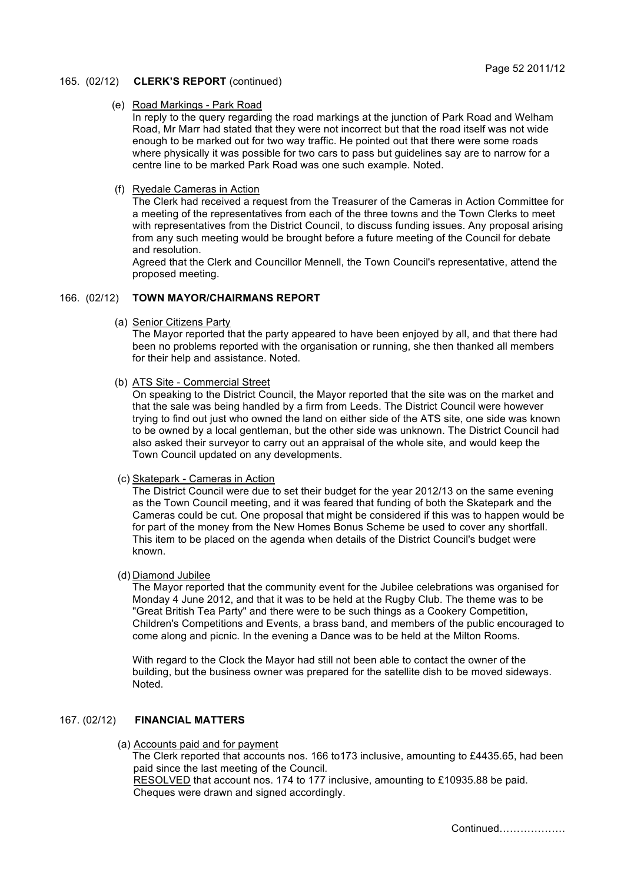### 165. (02/12) **CLERK'S REPORT** (continued)

#### (e) Road Markings - Park Road

In reply to the query regarding the road markings at the junction of Park Road and Welham Road, Mr Marr had stated that they were not incorrect but that the road itself was not wide enough to be marked out for two way traffic. He pointed out that there were some roads where physically it was possible for two cars to pass but guidelines say are to narrow for a centre line to be marked Park Road was one such example. Noted.

#### (f) Ryedale Cameras in Action

The Clerk had received a request from the Treasurer of the Cameras in Action Committee for a meeting of the representatives from each of the three towns and the Town Clerks to meet with representatives from the District Council, to discuss funding issues. Any proposal arising from any such meeting would be brought before a future meeting of the Council for debate and resolution.

Agreed that the Clerk and Councillor Mennell, the Town Council's representative, attend the proposed meeting.

# 166. (02/12) **TOWN MAYOR/CHAIRMANS REPORT**

(a) Senior Citizens Party

The Mayor reported that the party appeared to have been enjoyed by all, and that there had been no problems reported with the organisation or running, she then thanked all members for their help and assistance. Noted.

(b) ATS Site - Commercial Street

On speaking to the District Council, the Mayor reported that the site was on the market and that the sale was being handled by a firm from Leeds. The District Council were however trying to find out just who owned the land on either side of the ATS site, one side was known to be owned by a local gentleman, but the other side was unknown. The District Council had also asked their surveyor to carry out an appraisal of the whole site, and would keep the Town Council updated on any developments.

(c) Skatepark - Cameras in Action

The District Council were due to set their budget for the year 2012/13 on the same evening as the Town Council meeting, and it was feared that funding of both the Skatepark and the Cameras could be cut. One proposal that might be considered if this was to happen would be for part of the money from the New Homes Bonus Scheme be used to cover any shortfall. This item to be placed on the agenda when details of the District Council's budget were known.

(d) Diamond Jubilee

The Mayor reported that the community event for the Jubilee celebrations was organised for Monday 4 June 2012, and that it was to be held at the Rugby Club. The theme was to be "Great British Tea Party" and there were to be such things as a Cookery Competition, Children's Competitions and Events, a brass band, and members of the public encouraged to come along and picnic. In the evening a Dance was to be held at the Milton Rooms.

With regard to the Clock the Mayor had still not been able to contact the owner of the building, but the business owner was prepared for the satellite dish to be moved sideways. Noted.

# 167. (02/12) **FINANCIAL MATTERS**

(a) Accounts paid and for payment

The Clerk reported that accounts nos. 166 to173 inclusive, amounting to £4435.65, had been paid since the last meeting of the Council.

 RESOLVED that account nos. 174 to 177 inclusive, amounting to £10935.88 be paid. Cheques were drawn and signed accordingly.

Continued……………….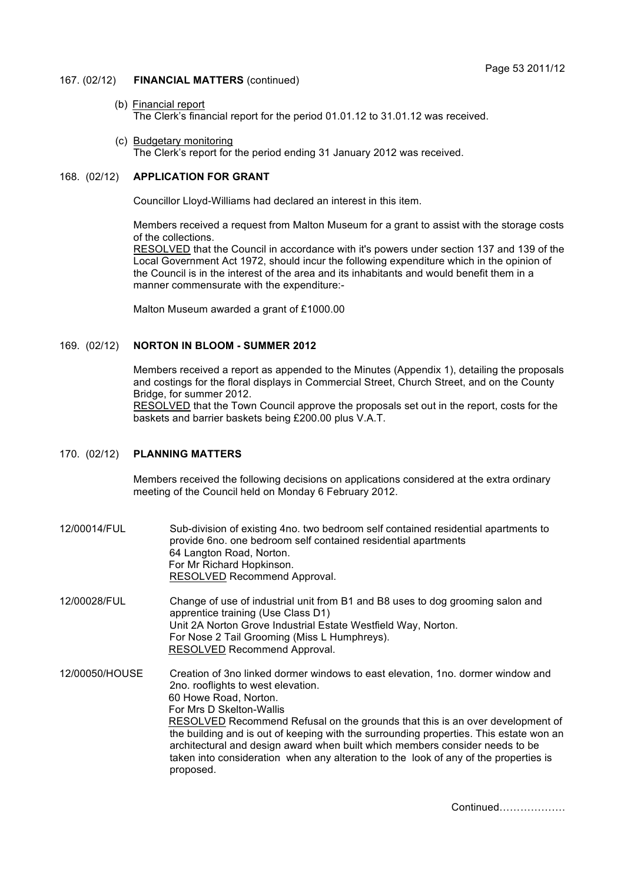### 167. (02/12) **FINANCIAL MATTERS** (continued)

- (b) Financial report The Clerk's financial report for the period 01.01.12 to 31.01.12 was received.
- (c) Budgetary monitoring The Clerk's report for the period ending 31 January 2012 was received.

# 168. (02/12) **APPLICATION FOR GRANT**

Councillor Lloyd-Williams had declared an interest in this item.

Members received a request from Malton Museum for a grant to assist with the storage costs of the collections.

RESOLVED that the Council in accordance with it's powers under section 137 and 139 of the Local Government Act 1972, should incur the following expenditure which in the opinion of the Council is in the interest of the area and its inhabitants and would benefit them in a manner commensurate with the expenditure:-

Malton Museum awarded a grant of £1000.00

### 169. (02/12) **NORTON IN BLOOM - SUMMER 2012**

Members received a report as appended to the Minutes (Appendix 1), detailing the proposals and costings for the floral displays in Commercial Street, Church Street, and on the County Bridge, for summer 2012.

RESOLVED that the Town Council approve the proposals set out in the report, costs for the baskets and barrier baskets being £200.00 plus V.A.T.

#### 170. (02/12) **PLANNING MATTERS**

Members received the following decisions on applications considered at the extra ordinary meeting of the Council held on Monday 6 February 2012.

12/00014/FUL Sub-division of existing 4no. two bedroom self contained residential apartments to provide 6no. one bedroom self contained residential apartments 64 Langton Road, Norton. For Mr Richard Hopkinson. RESOLVED Recommend Approval.

12/00028/FUL Change of use of industrial unit from B1 and B8 uses to dog grooming salon and apprentice training (Use Class D1) Unit 2A Norton Grove Industrial Estate Westfield Way, Norton. For Nose 2 Tail Grooming (Miss L Humphreys). RESOLVED Recommend Approval.

12/00050/HOUSE Creation of 3no linked dormer windows to east elevation, 1no. dormer window and 2no. rooflights to west elevation. 60 Howe Road, Norton. For Mrs D Skelton-Wallis RESOLVED Recommend Refusal on the grounds that this is an over development of the building and is out of keeping with the surrounding properties. This estate won an architectural and design award when built which members consider needs to be taken into consideration when any alteration to the look of any of the properties is proposed.

Continued……………….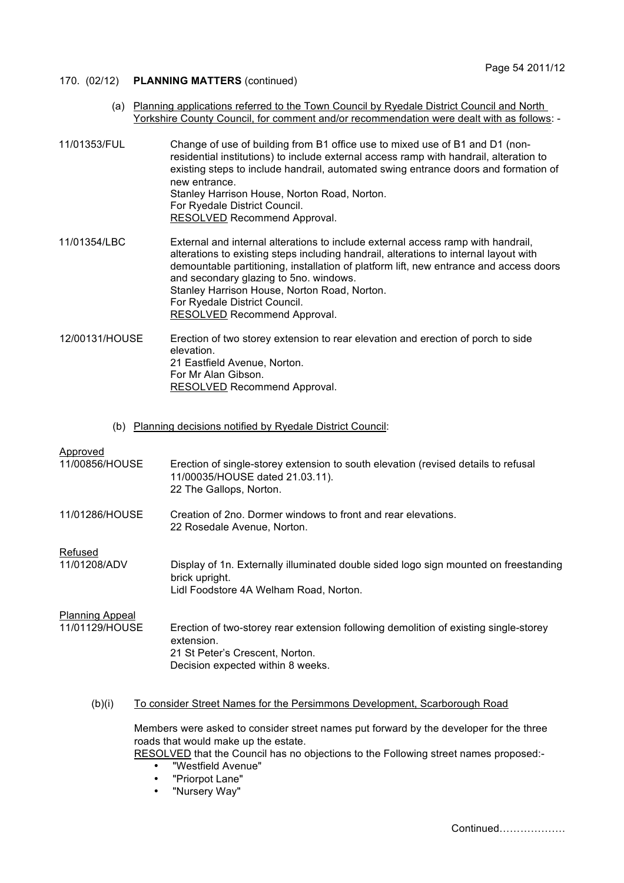## 170. (02/12) **PLANNING MATTERS** (continued)

- (a) Planning applications referred to the Town Council by Ryedale District Council and North Yorkshire County Council, for comment and/or recommendation were dealt with as follows: -
- 11/01353/FUL Change of use of building from B1 office use to mixed use of B1 and D1 (nonresidential institutions) to include external access ramp with handrail, alteration to existing steps to include handrail, automated swing entrance doors and formation of new entrance. Stanley Harrison House, Norton Road, Norton. For Ryedale District Council. RESOLVED Recommend Approval.
- 11/01354/LBC External and internal alterations to include external access ramp with handrail, alterations to existing steps including handrail, alterations to internal layout with demountable partitioning, installation of platform lift, new entrance and access doors and secondary glazing to 5no. windows. Stanley Harrison House, Norton Road, Norton. For Ryedale District Council. RESOLVED Recommend Approval.
- 12/00131/HOUSE Erection of two storey extension to rear elevation and erection of porch to side elevation. 21 Eastfield Avenue, Norton. For Mr Alan Gibson. RESOLVED Recommend Approval.
	- (b) Planning decisions notified by Ryedale District Council:

### Approved

| 11/00856/HOUSE                           | Erection of single-storey extension to south elevation (revised details to refusal<br>11/00035/HOUSE dated 21.03.11).<br>22 The Gallops, Norton.                                                                       |
|------------------------------------------|------------------------------------------------------------------------------------------------------------------------------------------------------------------------------------------------------------------------|
| 11/01286/HOUSE                           | Creation of 2no. Dormer windows to front and rear elevations.<br>22 Rosedale Avenue, Norton.                                                                                                                           |
| Refused<br>11/01208/ADV                  | Display of 1n. Externally illuminated double sided logo sign mounted on freestanding<br>brick upright.<br>Lidl Foodstore 4A Welham Road, Norton.                                                                       |
| <b>Planning Appeal</b><br>11/01129/HOUSE | Erection of two-storey rear extension following demolition of existing single-storey<br>extension.<br>21 St Peter's Crescent, Norton.<br>Decision expected within 8 weeks.                                             |
| (b)(i)                                   | To consider Street Names for the Persimmons Development, Scarborough Road                                                                                                                                              |
|                                          | Members were asked to consider street names put forward by the developer for the three<br>roads that would make up the estate.<br>RESOLVED that the Council has no objections to the Following street names proposed:- |

- "Westfield Avenue"
- "Priorpot Lane"
- "Nursery Way"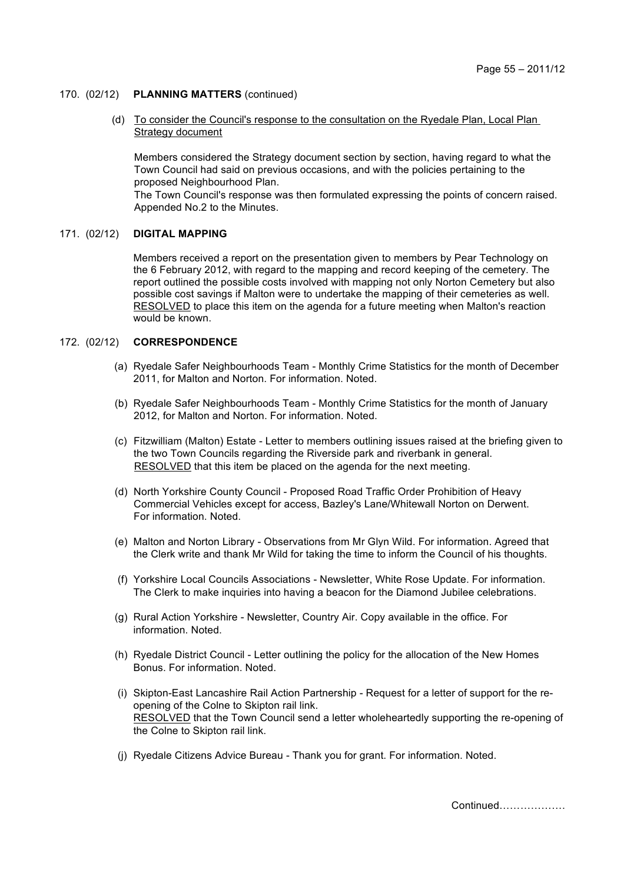### 170. (02/12) **PLANNING MATTERS** (continued)

 (d) To consider the Council's response to the consultation on the Ryedale Plan, Local Plan Strategy document

Members considered the Strategy document section by section, having regard to what the Town Council had said on previous occasions, and with the policies pertaining to the proposed Neighbourhood Plan.

The Town Council's response was then formulated expressing the points of concern raised. Appended No.2 to the Minutes.

### 171. (02/12) **DIGITAL MAPPING**

 Members received a report on the presentation given to members by Pear Technology on the 6 February 2012, with regard to the mapping and record keeping of the cemetery. The report outlined the possible costs involved with mapping not only Norton Cemetery but also possible cost savings if Malton were to undertake the mapping of their cemeteries as well. RESOLVED to place this item on the agenda for a future meeting when Malton's reaction would be known.

### 172. (02/12) **CORRESPONDENCE**

- (a) Ryedale Safer Neighbourhoods Team Monthly Crime Statistics for the month of December 2011, for Malton and Norton. For information. Noted.
- (b) Ryedale Safer Neighbourhoods Team Monthly Crime Statistics for the month of January 2012, for Malton and Norton. For information. Noted.
- (c) Fitzwilliam (Malton) Estate Letter to members outlining issues raised at the briefing given to the two Town Councils regarding the Riverside park and riverbank in general. RESOLVED that this item be placed on the agenda for the next meeting.
- (d) North Yorkshire County Council Proposed Road Traffic Order Prohibition of Heavy Commercial Vehicles except for access, Bazley's Lane/Whitewall Norton on Derwent. For information. Noted.
- (e) Malton and Norton Library Observations from Mr Glyn Wild. For information. Agreed that the Clerk write and thank Mr Wild for taking the time to inform the Council of his thoughts.
- (f) Yorkshire Local Councils Associations Newsletter, White Rose Update. For information. The Clerk to make inquiries into having a beacon for the Diamond Jubilee celebrations.
- (g) Rural Action Yorkshire Newsletter, Country Air. Copy available in the office. For information. Noted.
- (h) Ryedale District Council Letter outlining the policy for the allocation of the New Homes Bonus. For information. Noted.
- (i) Skipton-East Lancashire Rail Action Partnership Request for a letter of support for the reopening of the Colne to Skipton rail link. RESOLVED that the Town Council send a letter wholeheartedly supporting the re-opening of the Colne to Skipton rail link.
- (j) Ryedale Citizens Advice Bureau Thank you for grant. For information. Noted.